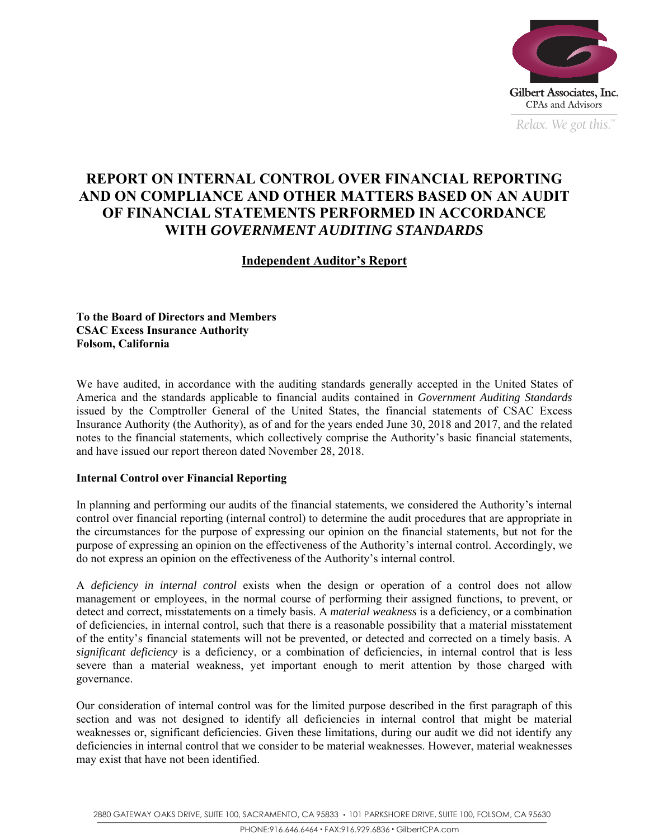

*Relax. We got this.*  $\alpha$ 

# **REPORT ON INTERNAL CONTROL OVER FINANCIAL REPORTING AND ON COMPLIANCE AND OTHER MATTERS BASED ON AN AUDIT OF FINANCIAL STATEMENTS PERFORMED IN ACCORDANCE WITH** *GOVERNMENT AUDITING STANDARDS*

# **Independent Auditor's Report**

**To the Board of Directors and Members CSAC Excess Insurance Authority Folsom, California** 

We have audited, in accordance with the auditing standards generally accepted in the United States of America and the standards applicable to financial audits contained in *Government Auditing Standards* issued by the Comptroller General of the United States, the financial statements of CSAC Excess Insurance Authority (the Authority), as of and for the years ended June 30, 2018 and 2017, and the related notes to the financial statements, which collectively comprise the Authority's basic financial statements, and have issued our report thereon dated November 28, 2018.

## **Internal Control over Financial Reporting**

In planning and performing our audits of the financial statements, we considered the Authority's internal control over financial reporting (internal control) to determine the audit procedures that are appropriate in the circumstances for the purpose of expressing our opinion on the financial statements, but not for the purpose of expressing an opinion on the effectiveness of the Authority's internal control. Accordingly, we do not express an opinion on the effectiveness of the Authority's internal control.

A *deficiency in internal control* exists when the design or operation of a control does not allow management or employees, in the normal course of performing their assigned functions, to prevent, or detect and correct, misstatements on a timely basis. A *material weakness* is a deficiency, or a combination of deficiencies, in internal control, such that there is a reasonable possibility that a material misstatement of the entity's financial statements will not be prevented, or detected and corrected on a timely basis. A *significant deficiency* is a deficiency, or a combination of deficiencies, in internal control that is less severe than a material weakness, yet important enough to merit attention by those charged with governance.

Our consideration of internal control was for the limited purpose described in the first paragraph of this section and was not designed to identify all deficiencies in internal control that might be material weaknesses or, significant deficiencies. Given these limitations, during our audit we did not identify any deficiencies in internal control that we consider to be material weaknesses. However, material weaknesses may exist that have not been identified.

2880 GATEWAY OAKS DRIVE, SUITE 100, SACRAMENTO, CA 95833 · 101 PARKSHORE DRIVE, SUITE 100, FOLSOM, CA 95630